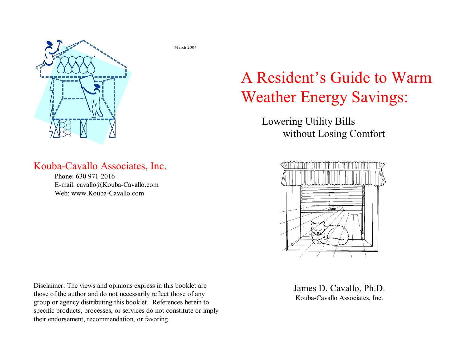

#### Kouba-Cavallo Associates, Inc.

Phone: 630 971-2016 E-mail: cavallo@Kouba-Cavallo.com Web: www.Kouba-Cavallo.com

Disclaimer: The views and opinions express in this booklet are those of the author and do not necessarily reflect those of any group or agency distributing this booklet. References herein to specific products, processes, or services do not constitute or imply their endorsement, recommendation, or favoring.

March 2004

# A Resident's Guide to Warm Weather Energy Savings:

Lowering Utility Bills without Losing Comfort



James D. Cavallo, Ph.D. Kouba-Cavallo Associates, Inc.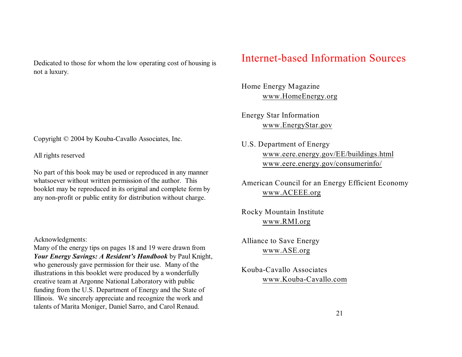Dedicated to those for whom the low operating cost of housing is not a luxury.

Copyright © 2004 by Kouba-Cavallo Associates, Inc.

All rights reserved

No part of this book may be used or reproduced in any manner whatsoever without written permission of the author. This booklet may be reproduced in its original and complete form by any non-profit or public entity for distribution without charge.

#### Acknowledgments:

Many of the energy tips on pages 18 and 19 were drawn from *Your Energy Savings: A Resident's Handbook* by Paul Knight, who generously gave permission for their use. Many of the illustrations in this booklet were produced by a wonderfully creative team at Argonne National Laboratory with public funding from the U.S. Department of Energy and the State of Illinois. We sincerely appreciate and recognize the work and talents of Marita Moniger, Daniel Sarro, and Carol Renaud.

#### Internet-based Information Sources

Home Energy Magazine [www.HomeEnergy.org](http://www.HomeEnergy.org)

Energy Star Information [www.EnergyStar.gov](http://www.EnergyStar.gov)

U.S. Department of Energy [www.eere.energy.gov/EE/buildings.html](http://www.EREN.gov) [www.eere.energy.gov/consumerinfo/](http://www.eere.energy.gov)

American Council for an Energy Efficient Economy [www.ACEEE.org](http://www.aceee.org)

Rocky Mountain Institute [www.RMI.org](http://www.RMI.org)

Alliance to Save Energy [www.ASE.org](http://www.ASE.org)

Kouba-Cavallo Associates [www.Kouba-Cavallo.com](http://www.Kouba)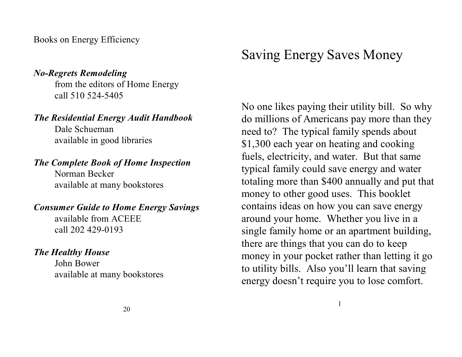Books on Energy Efficiency

#### *No-Regrets Remodeling*

from the editors of Home Energy call 510 524-5405

#### *The Residential Energy Audit Handbook*

Dale Schueman available in good libraries

#### *The Complete Book of Home Inspection*

Norman Becker available at many bookstores

#### *Consumer Guide to Home Energy Savings*

available from ACEEE call 202 429-0193

#### *The Healthy House*

John Bower available at many bookstores

# Saving Energy Saves Money

No one likes paying their utility bill. So why do millions of Americans pay more than they need to? The typical family spends about \$1,300 each year on heating and cooking fuels, electricity, and water. But that same typical family could save energy and water totaling more than \$400 annually and put that money to other good uses. This booklet contains ideas on how you can save energy around your home. Whether you live in a single family home or an apartment building, there are things that you can do to keep money in your pocket rather than letting it go to utility bills. Also you'll learn that saving energy doesn't require you to lose comfort.

1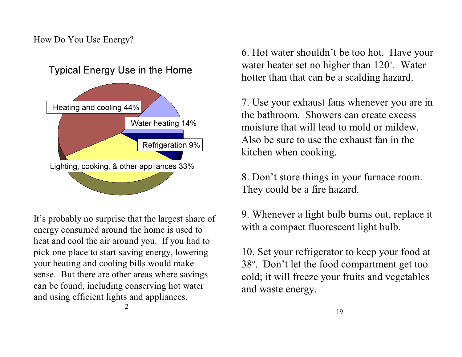#### How Do You Use Energy?



It's probably no surprise that the largest share of energy consumed around the home is used to heat and cool the air around you. If you had to pick one place to start saving energy, lowering your heating and cooling bills would make sense. But there are other areas where savings can be found, including conserving hot water and using efficient lights and appliances.

2

6. Hot water shouldn't be too hot. Have your water heater set no higher than  $120^\circ$ . Water hotter than that can be a scalding hazard.

7. Use your exhaust fans whenever you are in the bathroom. Showers can create excess moisture that will lead to mold or mildew. Also be sure to use the exhaust fan in the kitchen when cooking.

8. Don't store things in your furnace room. They could be a fire hazard.

9. Whenever a light bulb burns out, replace it with a compact fluorescent light bulb.

10. Set your refrigerator to keep your food at 38°. Don't let the food compartment get too cold; it will freeze your fruits and vegetables and waste energy.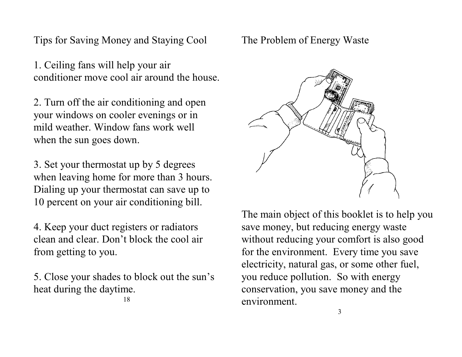Tips for Saving Money and Staying Cool

1. Ceiling fans will help your air conditioner move cool air around the house.

2. Turn off the air conditioning and open your windows on cooler evenings or in mild weather. Window fans work well when the sun goes down.

3. Set your thermostat up by 5 degrees when leaving home for more than 3 hours. Dialing up your thermostat can save up to 10 percent on your air conditioning bill.

4. Keep your duct registers or radiators clean and clear. Don't block the cool air from getting to you.

5. Close your shades to block out the sun's heat during the daytime.

18

The Problem of Energy Waste



The main object of this booklet is to help you save money, but reducing energy waste without reducing your comfort is also good for the environment. Every time you save electricity, natural gas, or some other fuel, you reduce pollution. So with energy conservation, you save money and the environment.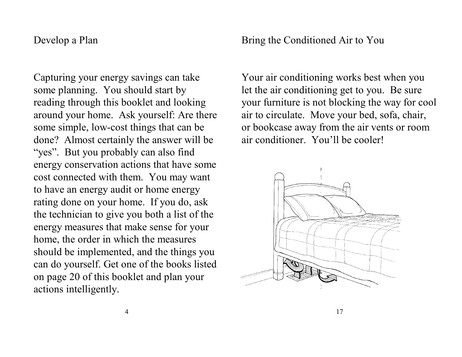#### Develop a Plan

Capturing your energy savings can take some planning. You should start by reading through this booklet and looking around your home. Ask yourself: Are there some simple, low-cost things that can be done? Almost certainly the answer will be "yes". But you probably can also find energy conservation actions that have some cost connected with them. You may want to have an energy audit or home energy rating done on your home. If you do, ask the technician to give you both a list of the energy measures that make sense for your home, the order in which the measures should be implemented, and the things you can do yourself. Get one of the books listed on page 20 of this booklet and plan your actions intelligently.

Bring the Conditioned Air to You

Your air conditioning works best when you let the air conditioning get to you. Be sure your furniture is not blocking the way for cool air to circulate. Move your bed, sofa, chair, or bookcase away from the air vents or room air conditioner. You'll be cooler!

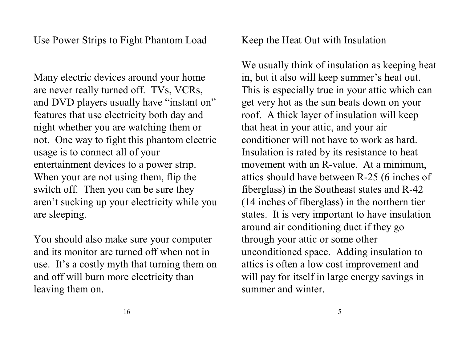Many electric devices around your home are never really turned off. TVs, VCRs, and DVD players usually have "instant on" features that use electricity both day and night whether you are watching them or not. One way to fight this phantom electric usage is to connect all of your entertainment devices to a power strip. When your are not using them, flip the switch off. Then you can be sure they aren't sucking up your electricity while you are sleeping.

You should also make sure your computer and its monitor are turned off when not in use. It's a costly myth that turning them on and off will burn more electricity than leaving them on.

Keep the Heat Out with Insulation

We usually think of insulation as keeping heat in, but it also will keep summer's heat out. This is especially true in your attic which can get very hot as the sun beats down on your roof. A thick layer of insulation will keep that heat in your attic, and your air conditioner will not have to work as hard. Insulation is rated by its resistance to heat movement with an R-value. At a minimum, attics should have between R-25 (6 inches of fiberglass) in the Southeast states and R-42 (14 inches of fiberglass) in the northern tier states. It is very important to have insulation around air conditioning duct if they go through your attic or some other unconditioned space. Adding insulation to attics is often a low cost improvement and will pay for itself in large energy savings in summer and winter.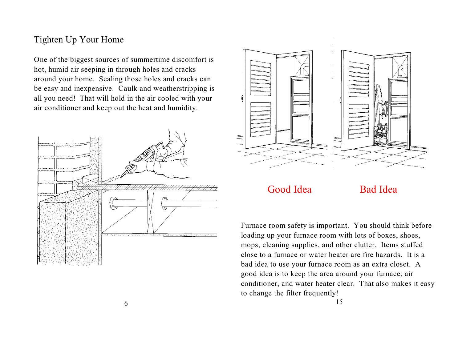#### Tighten Up Your Home

One of the biggest sources of summertime discomfort is hot, humid air seeping in through holes and cracks around your home. Sealing those holes and cracks can be easy and inexpensive. Caulk and weatherstripping is all you need! That will hold in the air cooled with your air conditioner and keep out the heat and humidity.





Good Idea Bad Idea

Furnace room safety is important. You should think before loading up your furnace room with lots of boxes, shoes, mops, cleaning supplies, and other clutter. Items stuffed close to a furnace or water heater are fire hazards. It is a bad idea to use your furnace room as an extra closet. A good idea is to keep the area around your furnace, air conditioner, and water heater clear. That also makes it easy to change the filter frequently!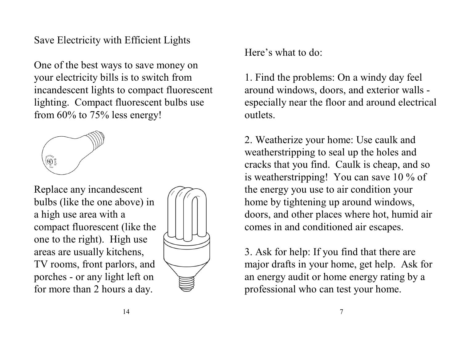### Save Electricity with Efficient Lights

One of the best ways to save money on your electricity bills is to switch from incandescent lights to compact fluorescent lighting. Compact fluorescent bulbs use from 60% to 75% less energy!



Replace any incandescent bulbs (like the one above) in a high use area with a compact fluorescent (like the one to the right). High use areas are usually kitchens, TV rooms, front parlors, and porches - or any light left on for more than 2 hours a day.



Here's what to do:

1. Find the problems: On a windy day feel around windows, doors, and exterior walls especially near the floor and around electrical outlets.

2. Weatherize your home: Use caulk and weatherstripping to seal up the holes and cracks that you find. Caulk is cheap, and so is weatherstripping! You can save 10 % of the energy you use to air condition your home by tightening up around windows, doors, and other places where hot, humid air comes in and conditioned air escapes.

3. Ask for help: If you find that there are major drafts in your home, get help. Ask for an energy audit or home energy rating by a professional who can test your home.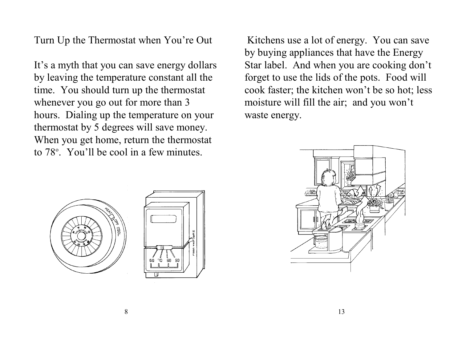Turn Up the Thermostat when You're Out

It's a myth that you can save energy dollars by leaving the temperature constant all the time. You should turn up the thermostat whenever you go out for more than 3 hours. Dialing up the temperature on your thermostat by 5 degrees will save money. When you get home, return the thermostat to  $78^\circ$ . You'll be cool in a few minutes.

 Kitchens use a lot of energy. You can save by buying appliances that have the Energy Star label. And when you are cooking don't forget to use the lids of the pots. Food will cook faster; the kitchen won't be so hot; less moisture will fill the air; and you won't waste energy.





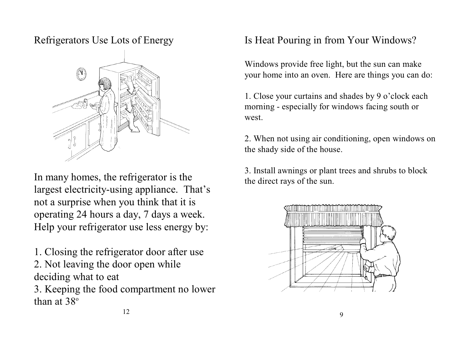#### Refrigerators Use Lots of Energy



In many homes, the refrigerator is the largest electricity-using appliance. That's not a surprise when you think that it is operating 24 hours a day, 7 days a week. Help your refrigerator use less energy by:

- 1. Closing the refrigerator door after use
- 2. Not leaving the door open while deciding what to eat
- 3. Keeping the food compartment no lower than at  $38^\circ$

# Is Heat Pouring in from Your Windows?

Windows provide free light, but the sun can make your home into an oven. Here are things you can do:

1. Close your curtains and shades by 9 o'clock each morning - especially for windows facing south or west.

2. When not using air conditioning, open windows on the shady side of the house.

3. Install awnings or plant trees and shrubs to block the direct rays of the sun.